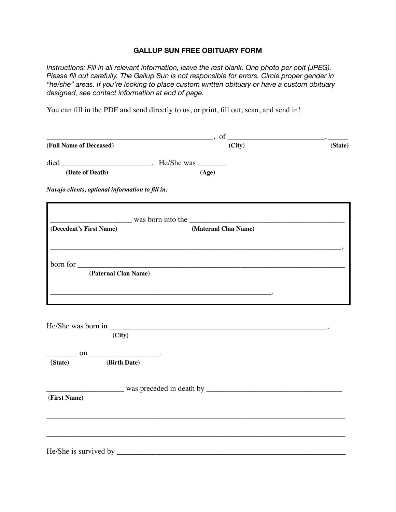## **GALLUP SUN FREE OBITUARY FORM**

*Instructions: Fill in all relevant information, leave the rest blank. One photo per obit (JPEG). Please fill out carefully. The Gallup Sun is not responsible for errors. Circle proper gender in "he/she" areas. If you're looking to place custom written obituary or have a custom obituary designed, see contact information at end of page.* 

You can fill in the PDF and send directly to us, or print, fill out, scan, and send in!

|                                                  | $\sigma$ , of $\sigma$                                                                                                                                                                                                               |         |
|--------------------------------------------------|--------------------------------------------------------------------------------------------------------------------------------------------------------------------------------------------------------------------------------------|---------|
| (Full Name of Deceased)                          | (City)                                                                                                                                                                                                                               | (State) |
|                                                  |                                                                                                                                                                                                                                      |         |
| (Date of Death)                                  | (Age)                                                                                                                                                                                                                                |         |
| Navajo clients, optional information to fill in: |                                                                                                                                                                                                                                      |         |
|                                                  | was born into the <u>container and the container and the series of the series of the series of the series of the series of the series of the series of the series of the series of the series of the series of the series of the</u> |         |
| (Decedent's First Name)                          | (Maternal Clan Name)                                                                                                                                                                                                                 |         |
|                                                  |                                                                                                                                                                                                                                      |         |
| (Paternal Clan Name)                             | born for example, the contract of the contract of the contract of the contract of the contract of the contract of the contract of the contract of the contract of the contract of the contract of the contract of the contract       |         |
|                                                  | the contract of the contract of the contract of the contract of the contract of the contract of the contract of                                                                                                                      |         |
|                                                  |                                                                                                                                                                                                                                      |         |
| (City)                                           |                                                                                                                                                                                                                                      |         |
| $\sim$ on $\sim$                                 |                                                                                                                                                                                                                                      |         |
| (Birth Date)<br>(State)                          |                                                                                                                                                                                                                                      |         |
|                                                  |                                                                                                                                                                                                                                      |         |
| (First Name)                                     |                                                                                                                                                                                                                                      |         |
|                                                  |                                                                                                                                                                                                                                      |         |
|                                                  |                                                                                                                                                                                                                                      |         |
|                                                  |                                                                                                                                                                                                                                      |         |